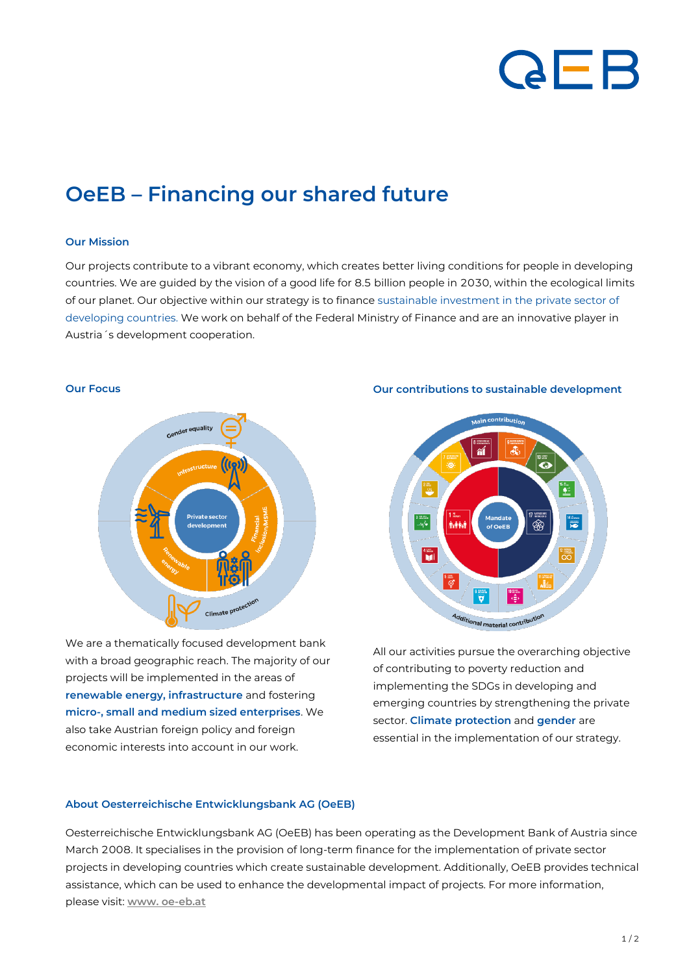# QEB

## **OeEB – Financing our shared future**

### **Our Mission**

Our projects contribute to a vibrant economy, which creates better living conditions for people in developing countries. We are guided by the vision of a good life for 8.5 billion people in 2030, within the ecological limits of our planet. Our objective within our strategy is to finance sustainable investment in the private sector of developing countries. We work on behalf of the Federal Ministry of Finance and are an innovative player in Austria´s development cooperation.

### **Our Focus**



We are a thematically focused development bank with a broad geographic reach. The majority of our projects will be implemented in the areas of **renewable energy, infrastructure** and fostering **micro-, small and medium sized enterprises**. We also take Austrian foreign policy and foreign economic interests into account in our work.

### **Our contributions to sustainable development**



All our activities pursue the overarching objective of contributing to poverty reduction and implementing the SDGs in developing and emerging countries by strengthening the private sector. **Climate protection** and **gender** are essential in the implementation of our strategy.

### **About Oesterreichische Entwicklungsbank AG (OeEB)**

Oesterreichische Entwicklungsbank AG (OeEB) has been operating as the Development Bank of Austria since March 2008. It specialises in the provision of long-term finance for the implementation of private sector projects in developing countries which create sustainable development. Additionally, OeEB provides technical assistance, which can be used to enhance the developmental impact of projects. For more information, please visit: **[www. oe-eb.at](http://www.oe-eb.at/)**